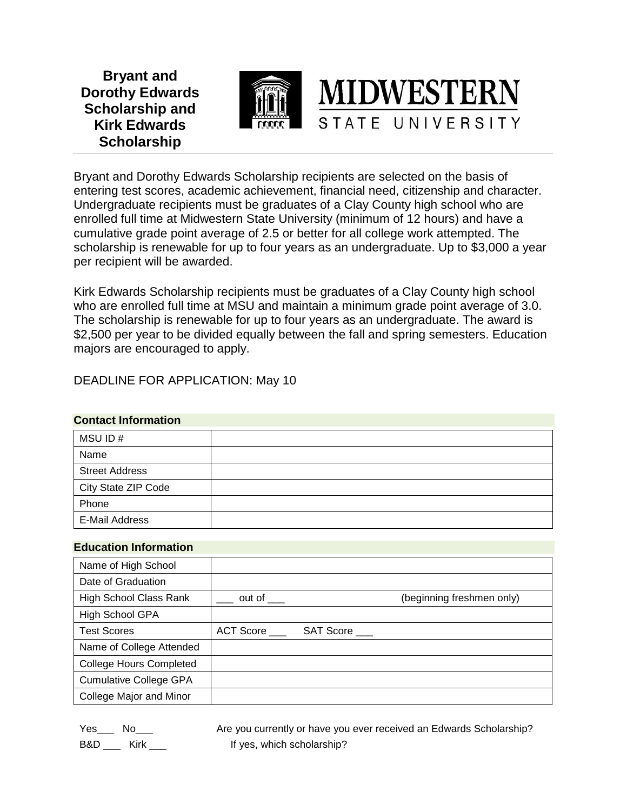**Bryant and Dorothy Edwards Scholarship and Kirk Edwards Scholarship**



Bryant and Dorothy Edwards Scholarship recipients are selected on the basis of entering test scores, academic achievement, financial need, citizenship and character. Undergraduate recipients must be graduates of a Clay County high school who are enrolled full time at Midwestern State University (minimum of 12 hours) and have a cumulative grade point average of 2.5 or better for all college work attempted. The scholarship is renewable for up to four years as an undergraduate. Up to \$3,000 a year per recipient will be awarded.

Kirk Edwards Scholarship recipients must be graduates of a Clay County high school who are enrolled full time at MSU and maintain a minimum grade point average of 3.0. The scholarship is renewable for up to four years as an undergraduate. The award is \$2,500 per year to be divided equally between the fall and spring semesters. Education majors are encouraged to apply.

DEADLINE FOR APPLICATION: May 10

## **Contact Information**

| MSU ID#               |  |
|-----------------------|--|
| Name                  |  |
| <b>Street Address</b> |  |
| City State ZIP Code   |  |
| Phone                 |  |
| <b>E-Mail Address</b> |  |

## **Education Information**

| Name of High School            |                             |                  |                           |
|--------------------------------|-----------------------------|------------------|---------------------------|
| Date of Graduation             |                             |                  |                           |
| <b>High School Class Rank</b>  | out of $\rule{1em}{0.15mm}$ |                  | (beginning freshmen only) |
| High School GPA                |                             |                  |                           |
| <b>Test Scores</b>             | <b>ACT Score</b>            | <b>SAT Score</b> |                           |
| Name of College Attended       |                             |                  |                           |
| <b>College Hours Completed</b> |                             |                  |                           |
| <b>Cumulative College GPA</b>  |                             |                  |                           |
| College Major and Minor        |                             |                  |                           |

Yes\_\_\_ No\_\_\_ hocall Are you currently or have you ever received an Edwards Scholarship? B&D \_\_\_ Kirk \_\_\_ If yes, which scholarship?